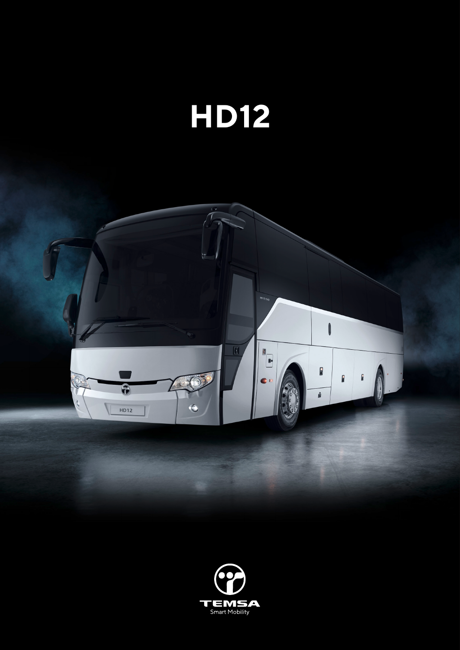



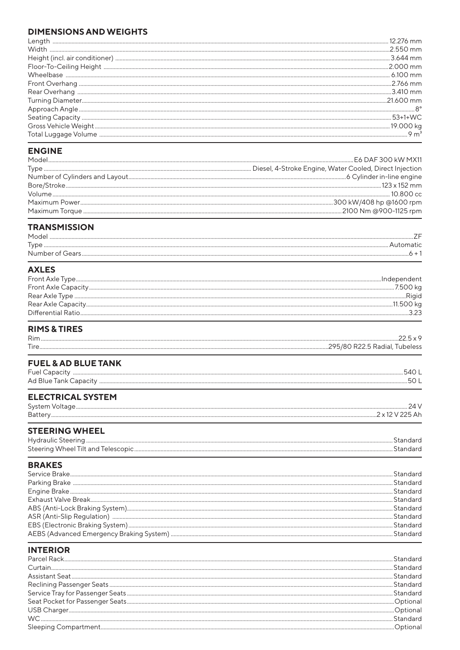#### **DIMENSIONS AND WEIGHTS**

| Leno         |                      |
|--------------|----------------------|
| <b>Width</b> | $2550$ mm            |
|              | 3.644 mm             |
|              | $2000 \,\mathrm{mm}$ |
|              | $6100 \,\mathrm{mm}$ |
|              | .2.766 mm            |
|              | $3410 \text{ mm}$    |
|              | $21600$ mm           |
|              |                      |
|              | $53+1+WC$            |
|              |                      |
|              |                      |

### **ENGINE**

| Model |  |
|-------|--|
|       |  |
|       |  |
|       |  |
|       |  |
|       |  |
|       |  |
|       |  |

#### **TRANSMISSION**

| Mode                 |  |
|----------------------|--|
| Tyne                 |  |
| Number of<br>u Gearr |  |
|                      |  |

## **AXLES**

#### **RIMS & TIRES**

| <b>FUEL &amp; AD BLUE TANK</b> |                      |
|--------------------------------|----------------------|
|                                | 501                  |
| <b>ELECTRICAL SYSTEM</b>       |                      |
| <b>STEERING WHEEL</b>          | Standard<br>Standard |
|                                |                      |

## **BRAKES**

## **INTERIOR**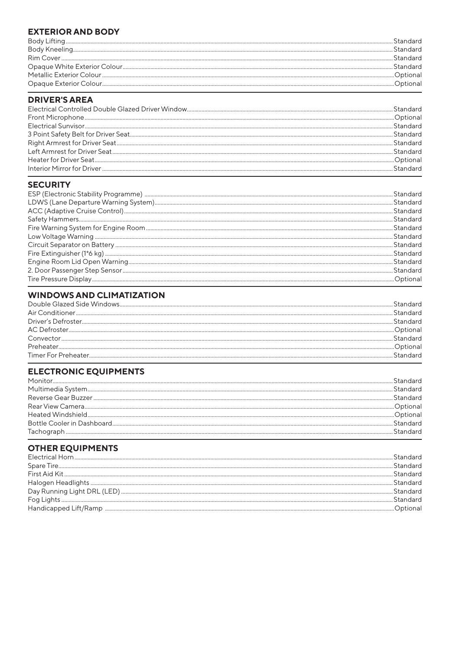#### **EXTERIOR AND BODY**

| Standard  |
|-----------|
| Standard  |
| Standard  |
| Standard  |
| Ontional) |
|           |

## **DRIVER'S AREA**

#### **SECURITY**

## **WINDOWS AND CLIMATIZATION**

|                                                                                                                                                                                                                                                                                                                                                                                                                                                                                                                         | Standard |
|-------------------------------------------------------------------------------------------------------------------------------------------------------------------------------------------------------------------------------------------------------------------------------------------------------------------------------------------------------------------------------------------------------------------------------------------------------------------------------------------------------------------------|----------|
| $\textbf{Driver's Defroster.}\textcolor{red}{\textbf{m}}\textcolor{red}{\textbf{m}}\textcolor{red}{\textbf{m}}\textcolor{red}{\textbf{m}}\textcolor{red}{\textbf{m}}\textcolor{red}{\textbf{m}}\textcolor{red}{\textbf{m}}\textcolor{red}{\textbf{m}}\textcolor{red}{\textbf{m}}\textcolor{red}{\textbf{m}}\textcolor{red}{\textbf{m}}\textcolor{red}{\textbf{m}}\textcolor{red}{\textbf{m}}\textcolor{red}{\textbf{m}}\textcolor{red}{\textbf{m}}\textcolor{red}{\textbf{m}}\textcolor{red}{\textbf{m}}\textcolor{red$ | Standard |
|                                                                                                                                                                                                                                                                                                                                                                                                                                                                                                                         | Ontional |
| Convector                                                                                                                                                                                                                                                                                                                                                                                                                                                                                                               | Standard |
| Preheater.                                                                                                                                                                                                                                                                                                                                                                                                                                                                                                              |          |
|                                                                                                                                                                                                                                                                                                                                                                                                                                                                                                                         |          |

## **ELECTRONIC EQUIPMENTS**

| Monitor |          |
|---------|----------|
|         | Standard |
|         | Standard |
|         |          |
|         | Optional |
|         | Standard |
|         |          |

# **OTHER EQUIPMENTS**

| $\textcolor{red}{ \textbf{Electrical Horn}\textcolor{red}{}\textcolor{blue}{}\textcolor{blue}{}\textcolor{blue}{}\textcolor{blue}{}\textcolor{blue}{}\textcolor{blue}{}\textcolor{blue}{}\textcolor{blue}{}\textcolor{blue}{}\textcolor{blue}{}\textcolor{blue}{}\textcolor{blue}{}\textcolor{blue}{}\textcolor{blue}{}\textcolor{blue}{}\textcolor{blue}{}\textcolor{blue}{}\textcolor{blue}{}\textcolor{blue}{}\textcolor{blue}{}\textcolor{blue}{}\textcolor{blue}{}\textcolor{blue}{}\textcolor{blue}{}\textcolor{blue}{}\textcolor{blue}{}\textcolor{blue}{}\textcolor{blue}{}\textcolor{$ |          |
|-------------------------------------------------------------------------------------------------------------------------------------------------------------------------------------------------------------------------------------------------------------------------------------------------------------------------------------------------------------------------------------------------------------------------------------------------------------------------------------------------------------------------------------------------------------------------------------------------|----------|
|                                                                                                                                                                                                                                                                                                                                                                                                                                                                                                                                                                                                 | Standard |
|                                                                                                                                                                                                                                                                                                                                                                                                                                                                                                                                                                                                 | Standard |
|                                                                                                                                                                                                                                                                                                                                                                                                                                                                                                                                                                                                 | Standard |
|                                                                                                                                                                                                                                                                                                                                                                                                                                                                                                                                                                                                 | Standard |
|                                                                                                                                                                                                                                                                                                                                                                                                                                                                                                                                                                                                 | Standard |
|                                                                                                                                                                                                                                                                                                                                                                                                                                                                                                                                                                                                 |          |